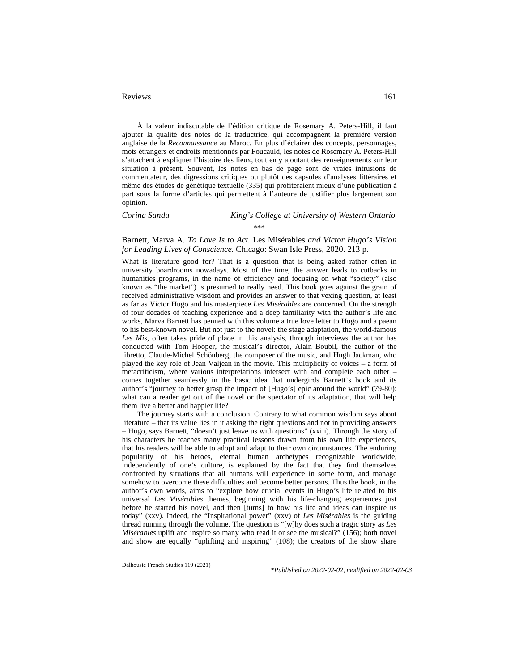161

À la valeur indiscutable de l'édition critique de Rosemary A. Peters-Hill, il faut ajouter la qualité des notes de la traductrice, qui accompagnent la première version anglaise de la *Reconnaissance* au Maroc. En plus d'éclairer des concepts, personnages, mots étrangers et endroits mentionnés par Foucauld, les notes de Rosemary A. Peters-Hill s'attachent à expliquer l'histoire des lieux, tout en y ajoutant des renseignements sur leur situation à présent. Souvent, les notes en bas de page sont de vraies intrusions de commentateur, des digressions critiques ou plutôt des capsules d'analyses littéraires et même des études de génétique textuelle (335) qui profiteraient mieux d'une publication à part sous la forme d'articles qui permettent à l'auteure de justifier plus largement son opinion.

## *Corina Sandu King's College at University of Western Ontario* \*\*\*

## Barnett, Marva A. *To Love Is to Act.* Les Misérables *and Victor Hugo's Vision for Leading Lives of Conscience.* Chicago: Swan Isle Press, 2020. 213 p.

What is literature good for? That is a question that is being asked rather often in university boardrooms nowadays. Most of the time, the answer leads to cutbacks in humanities programs, in the name of efficiency and focusing on what "society" (also known as "the market") is presumed to really need. This book goes against the grain of received administrative wisdom and provides an answer to that vexing question, at least as far as Victor Hugo and his masterpiece *Les Misérables* are concerned. On the strength of four decades of teaching experience and a deep familiarity with the author's life and works, Marva Barnett has penned with this volume a true love letter to Hugo and a paean to his best-known novel. But not just to the novel: the stage adaptation, the world-famous *Les Mis*, often takes pride of place in this analysis, through interviews the author has conducted with Tom Hooper, the musical's director, Alain Boubil, the author of the libretto, Claude-Michel Schönberg, the composer of the music, and Hugh Jackman, who played the key role of Jean Valjean in the movie. This multiplicity of voices – a form of metacriticism, where various interpretations intersect with and complete each other – comes together seamlessly in the basic idea that undergirds Barnett's book and its author's "journey to better grasp the impact of [Hugo's] epic around the world" (79-80): what can a reader get out of the novel or the spectator of its adaptation, that will help them live a better and happier life?

The journey starts with a conclusion. Contrary to what common wisdom says about literature – that its value lies in it asking the right questions and not in providing answers – Hugo, says Barnett, "doesn't just leave us with questions" (xxiii). Through the story of his characters he teaches many practical lessons drawn from his own life experiences, that his readers will be able to adopt and adapt to their own circumstances. The enduring popularity of his heroes, eternal human archetypes recognizable worldwide, independently of one's culture, is explained by the fact that they find themselves confronted by situations that all humans will experience in some form, and manage somehow to overcome these difficulties and become better persons. Thus the book, in the author's own words, aims to "explore how crucial events in Hugo's life related to his universal *Les Misérables* themes, beginning with his life-changing experiences just before he started his novel, and then [turns] to how his life and ideas can inspire us today" (xxv). Indeed, the "Inspirational power" (xxv) of *Les Misérables* is the guiding thread running through the volume. The question is "[w]hy does such a tragic story as *Les Misérables* uplift and inspire so many who read it or see the musical?" (156); both novel and show are equally "uplifting and inspiring" (108); the creators of the show share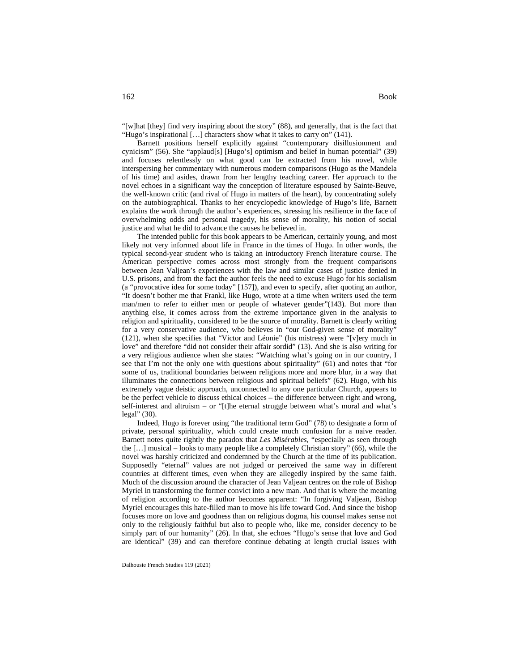"[w]hat [they] find very inspiring about the story" (88), and generally, that is the fact that "Hugo's inspirational […] characters show what it takes to carry on" (141).

Barnett positions herself explicitly against "contemporary disillusionment and cynicism" (56). She "applaud[s] [Hugo's] optimism and belief in human potential" (39) and focuses relentlessly on what good can be extracted from his novel, while interspersing her commentary with numerous modern comparisons (Hugo as the Mandela of his time) and asides, drawn from her lengthy teaching career. Her approach to the novel echoes in a significant way the conception of literature espoused by Sainte-Beuve, the well-known critic (and rival of Hugo in matters of the heart), by concentrating solely on the autobiographical. Thanks to her encyclopedic knowledge of Hugo's life, Barnett explains the work through the author's experiences, stressing his resilience in the face of overwhelming odds and personal tragedy, his sense of morality, his notion of social justice and what he did to advance the causes he believed in.

The intended public for this book appears to be American, certainly young, and most likely not very informed about life in France in the times of Hugo. In other words, the typical second-year student who is taking an introductory French literature course. The American perspective comes across most strongly from the frequent comparisons between Jean Valjean's experiences with the law and similar cases of justice denied in U.S. prisons, and from the fact the author feels the need to excuse Hugo for his socialism (a "provocative idea for some today" [157]), and even to specify, after quoting an author, "It doesn't bother me that Frankl, like Hugo, wrote at a time when writers used the term man/men to refer to either men or people of whatever gender"(143). But more than anything else, it comes across from the extreme importance given in the analysis to religion and spirituality, considered to be the source of morality. Barnett is clearly writing for a very conservative audience, who believes in "our God-given sense of morality" (121), when she specifies that "Victor and Léonie" (his mistress) were "[v]ery much in love" and therefore "did not consider their affair sordid" (13). And she is also writing for a very religious audience when she states: "Watching what's going on in our country, I see that I'm not the only one with questions about spirituality" (61) and notes that "for some of us, traditional boundaries between religions more and more blur, in a way that illuminates the connections between religious and spiritual beliefs" (62). Hugo, with his extremely vague deistic approach, unconnected to any one particular Church, appears to be the perfect vehicle to discuss ethical choices – the difference between right and wrong, self-interest and altruism – or "[t]he eternal struggle between what's moral and what's legal" (30).

Indeed, Hugo is forever using "the traditional term God" (78) to designate a form of private, personal spirituality, which could create much confusion for a naive reader. Barnett notes quite rightly the paradox that *Les Misérables*, "especially as seen through the […] musical – looks to many people like a completely Christian story" (66), while the novel was harshly criticized and condemned by the Church at the time of its publication. Supposedly "eternal" values are not judged or perceived the same way in different countries at different times, even when they are allegedly inspired by the same faith. Much of the discussion around the character of Jean Valjean centres on the role of Bishop Myriel in transforming the former convict into a new man. And that is where the meaning of religion according to the author becomes apparent: "In forgiving Valjean, Bishop Myriel encourages this hate-filled man to move his life toward God. And since the bishop focuses more on love and goodness than on religious dogma, his counsel makes sense not only to the religiously faithful but also to people who, like me, consider decency to be simply part of our humanity" (26). In that, she echoes "Hugo's sense that love and God are identical" (39) and can therefore continue debating at length crucial issues with